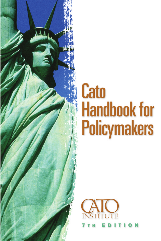

# **Cato<br>Handbook for Policymakers**

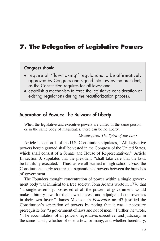# *7. The Delegation of Legislative Powers*

### *Congress should*

- require all ''lawmaking'' regulations to be affirmatively approved by Congress and signed into law by the president, as the Constitution requires for all laws; and
- establish a mechanism to force the legislative consideration of existing regulations during the reauthorization process.

## *Separation of Powers: The Bulwark of Liberty*

When the legislative and executive powers are united in the same person, or in the same body of magistrates, there can be no liberty.

—Montesquieu, *The Spirit of the Laws*

Article I, section 1, of the U.S. Constitution stipulates, ''All legislative powers herein granted shall be vested in the Congress of the United States, which shall consist of a Senate and House of Representatives.'' Article II, section 3, stipulates that the president ''shall take care that the laws be faithfully executed.'' Thus, as we all learned in high school civics, the Constitution clearly requires the separation of powers between the branches of government.

The Founders thought concentration of power within a single government body was inimical to a free society. John Adams wrote in 1776 that ''a single assembly, possessed of all the powers of government, would make arbitrary laws for their own interest, and adjudge all controversies in their own favor.'' James Madison in *Federalist* no. 47 justified the Constitution's separation of powers by noting that it was a necessary prerequisite for ''a government of laws and not of men.'' Further, he wrote, ''The accumulation of all powers, legislative, executive, and judiciary, in the same hands, whether of one, a few, or many, and whether hereditary,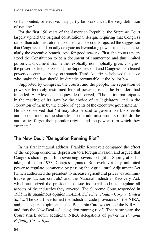self-appointed, or elective, may justly be pronounced the very definition of tyranny.''

For the first 150 years of the American Republic, the Supreme Court largely upheld the original constitutional design, requiring that Congress rather than administrators make the law. The courts rejected the suggestion that Congress could broadly delegate its lawmaking powers to others, particularly the executive branch. And for good reasons. First, the courts understood the Constitution to be a document of enumerated and thus limited powers, a document that neither explicitly nor implicitly gives Congress the power to delegate. Second, the Supreme Court and Congress both feared power concentrated in any one branch. Third, Americans believed that those who make the law should be directly accountable at the ballot box.

Supported by Congress, the courts, and the people, the separation of powers effectively restrained federal power, just as the Founders had intended. As Alexis de Tocqueville observed, ''The nation participates in the making of its laws by the choice of its legislators, and in the execution of them by the choice of agents of the executive government.'' He also observed that ''it may also be said to govern itself, so feeble and so restricted is the share left to the administrators, so little do the authorities forget their popular origins and the power from which they emanate.''

## *The New Deal: ''Delegation Running Riot''*

In his first inaugural address, Franklin Roosevelt compared the effect of the ongoing economic depression to a foreign invasion and argued that Congress should grant him sweeping powers to fight it. Shortly after his taking office in 1933, Congress granted Roosevelt virtually unlimited power to regulate commerce by passing the Agricultural Adjustment Act (which authorized the president to increase agricultural prices via administrative production controls) and the National Industrial Recovery Act, which authorized the president to issue industrial codes to regulate all aspects of the industries they covered. The Supreme Court responded in 1935 in its unanimous opinion in *A.L.A. Schechter Poultry Corp. v. United States*. The Court overturned the industrial code provisions of the NIRA, and, in a separate opinion, Justice Benjamin Cardozo termed the NIRA and thus the New Deal—''delegation running riot.'' That same year, the Court struck down additional NIRA delegations of power in *Panama Refining Co. v. Ryan*.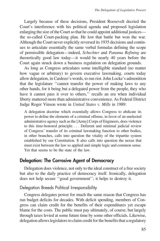Largely because of these decisions, President Roosevelt decried the Court's interference with his political agenda and proposed legislation enlarging the size of the Court so that he could appoint additional justices the so-called Court-packing plan. He lost that battle but won the war. Although the Court never explicitly reversed its 1935 decisions and continues to articulate essentially the same verbal formulas defining the scope of permissible delegation—indeed, *Schechter* and *Panama Refining* are theoretically good law today—it would be nearly 40 years before the Court again struck down a business regulation on delegation grounds.

As long as Congress articulates some intelligible standard (no matter how vague or arbitrary) to govern executive lawmaking, courts today allow delegation, in Cardozo's words, to run riot. John Locke's admonition that the legislature ''cannot transfer the power of making laws to any other hands, for it being but a delegated power from the people, they who have it cannot pass it over to others,'' recalls an era when individual liberty mattered more than administrative convenience. As Federal District Judge Roger Vinson wrote in *United States v. Mills* in 1989:

A delegation doctrine which essentially allows Congress to abdicate its power to define the elements of a criminal offense, in favor of an unelected administrative agency such as the [Army] Corps of Engineers, does violence to this time-honored principle. . . . Deferent and minimal judicial review of Congress' transfer of its criminal lawmaking function to other bodies, in other branches, calls into question the vitality of the tripartite system established by our Constitution. It also calls into question the nexus that must exist between the law so applied and simple logic and common sense. Yet that seems to be the state of the law.

## *Delegation: The Corrosive Agent of Democracy*

Delegation does violence, not only to the ideal construct of a free society but also to the daily practice of democracy itself. Ironically, delegation does not help secure ''good government''; it helps to destroy it.

## *Delegation Breeds Political Irresponsibility*

Congress delegates power for much the same reason that Congress has run budget deficits for decades. With deficit spending, members of Congress can claim credit for the benefits of their expenditures yet escape blame for the costs. The public must pay ultimately, of course, but largely through taxes levied at some future time by some other officials. Likewise, delegation allows legislators to claim credit for the benefits that a regulatory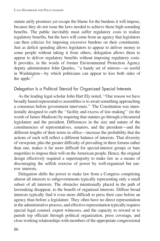statute airily promises yet escape the blame for the burdens it will impose, because they do not issue the laws needed to achieve those high-sounding benefits. The public inevitably must suffer regulatory costs to realize regulatory benefits, but the laws will come from an agency that legislators can then criticize for imposing excessive burdens on their constituents. Just as deficit spending allows legislators to appear to deliver money to some people without taking it from others, delegation allows them to appear to deliver regulatory benefits without imposing regulatory costs. It provides, in the words of former Environmental Protection Agency deputy administrator John Quarles, ''a handy set of mirrors—so useful in Washington—by which politicians can appear to kiss both sides of the apple.''

## *Delegation Is a Political Steroid for Organized Special Interests*

As the leading legal scholar John Hart Ely noted, ''One reason we have broadly based representative assemblies is to await something approaching a consensus before government intervenes.'' The Constitution was intentionally designed to curb the ''facility and excess of law-making'' (in the words of James Madison) by requiring that statutes go through a bicameral legislature and the president. Differences in the size and nature of the constituencies of representatives, senators, and the president—and the different lengths of their terms in office—increase the probability that the actions of each will reflect a different balance of interests. That diversity of viewpoint, plus the greater difficulty of prevailing in three forums rather than one, makes it far more difficult for special-interest groups or bare majorities to impose their will on the American people. Hence, the original design effectively required a supermajority to make law as a means of discouraging the selfish exercise of power by well-organized but narrow interests.

Delegation shifts the power to make law from a Congress comprising almost all interests to subgovernments typically representing only a small subset of all interests. The obstacles intentionally placed in the path of lawmaking disappear, to the benefit of organized interests. Diffuse broad interests typically find it even more difficult to press their case before an agency than before a legislature. They often have no direct representation in the administrative process, and effective representation typically requires special legal counsel, expert witnesses, and the capacity to reward or to punish top officials through political organization, press coverage, and close working relationships with members of the appropriate congressional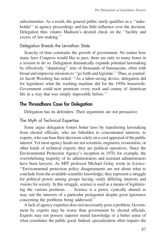subcommittee. As a result, the general public rarely qualifies as a ''stakeholder'' in agency proceedings and has little influence over the decision. Delegation thus vitiates Madison's desired check on the ''facility and excess of law-making.''

#### *Delegation Breeds the Leviathan State*

Scarcity of time constrains the growth of government. No matter how many laws Congress would like to pass, there are only so many hours in a session to do so. Delegation dramatically expands potential lawmaking by effectively ''deputizing'' tens of thousands of bureaucrats, often with broad and imprecise missions to ''go forth and legislate.'' Thus, as journalist Jacob Weisberg has noted: ''As a labor-saving device, delegation did for legislators what the washing machine did for the 1950s housewife. Government could now penetrate every nook and cranny of American life in a way that was simply impossible before.''

## *The Threadbare Case for Delegation*

Delegation has its defenders. Their arguments are not persuasive.

#### *The Myth of Technical Expertise*

Some argue delegation fosters better laws by transferring lawmaking from elected officials, who are beholden to concentrated interests, to experts, who can base their decisions solely on a cool appraisal of the public interest. Yet most agency heads are not scientists, engineers, economists, or other kinds of technical experts; they are political operatives. Since the Environmental Protection Agency's inception in 1970, for example, the overwhelming majority of its administrators and assistant administrators have been lawyers. As MIT professor Michael Golay wrote in *Science*: ''Environmental protection policy disagreements are not about what to conclude from the available scientific knowledge; they represent a struggle for political power among groups having vastly differing interests and visions for society. In this struggle, science is used as a means of legitimizing the various positions. . . . Science is a pawn, cynically abused as may suit the interests of a particular protagonist despite great ignorance concerning the problems being addressed.''

A lack of agency expertise does not necessarily pose a problem. Government by experts may be worse than government by elected officials. Experts may not possess superior moral knowledge or a better sense of what constitutes the public good. Indeed, specialization often impairs the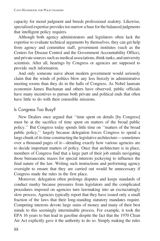capacity for moral judgment and breeds professional zealotry. Likewise, specialized expertise provides too narrow a base for the balanced judgments that intelligent policy requires.

Although both agency administrators and legislators often lack the expertise to evaluate technical arguments by themselves, they can get help from agency and committee staff, government institutes (such as the Centers for Disease Control and the Government Accountability Office), and private sources such as medical associations, think tanks, and university scientists. After all, hearings by Congress or agencies are supposed to provide such information.

And only someone naive about modern government would seriously claim that the winds of politics blow any less fiercely in administrative meeting rooms than they do in the halls of Congress. As Nobel laureate economist James Buchanan and others have observed, public officials have many incentives to pursue both private and political ends that often have little to do with their ostensible missions.

## *Is Congress Too Busy?*

New Dealers once argued that ''time spent on details [by Congress] must be at the sacrifice of time spent on matters of the broad public policy.'' But Congress today spends little time on ''matters of the broad public policy,'' largely because delegation forces Congress to spend a large chunk of its time constructing the legislative architecture—sometimes over a thousand pages of it—detailing exactly how various agencies are to decide important matters of policy. Once that architecture is in place, members of Congress find that a large part of their job entails navigating those bureaucratic mazes for special interests jockeying to influence the final nature of the law. Writing such instructions and performing agency oversight to ensure that they are carried out would be unnecessary if Congress made the rules in the first place.

Moreover, delegation often prolongs disputes and keeps standards of conduct murky because pressures from legislators and the complicated procedures imposed on agencies turn lawmaking into an excruciatingly slow process. Agencies typically report that they have issued only a small fraction of the laws that their long-standing statutory mandates require. Competing interests devote large sums of money and many of their best minds to this seemingly interminable process. For example, it took the EPA 16 years to ban lead in gasoline despite the fact that the 1970 Clean Air Act explicitly gave it the authority to do so. Simply making the rules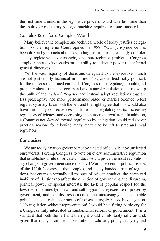the first time around in the legislative process would take less time than the multiyear regulatory sausage machine requires to issue standards.

## *Complex Rules for a Complex World*

Many believe the complex and technical world of today justifies delegation. As the Supreme Court opined in 1989, ''Our jurisprudence has been driven by a practical understanding that in our increasingly complex society, replete with ever changing and more technical problems, Congress simply cannot do its job absent an ability to delegate power under broad general directives.''

Yet the vast majority of decisions delegated to the executive branch are not particularly technical in nature. They are instead hotly political, for the reasons mentioned earlier. If Congress must regulate, it could (and probably should) jettison command-and-control regulations that make up the bulk of the *Federal Register* and instead adopt regulations that are less prescriptive and more performance based or market oriented. Most regulatory analysts on both the left and the right agree that this would also have the happy consequences of decreasing regulatory costs, increasing regulatory efficiency, and decreasing the burden on regulators. In addition, a Congress not skewed toward regulation by delegation would rediscover practical reasons for allowing many matters to be left to state and local regulators.

# *Conclusion*

We are today a nation governed not by elected officials, but by unelected bureaucrats. Forcing Congress to vote on every administrative regulation that establishes a rule of private conduct would prove the most revolutionary change in government since the Civil War. The central political issues of the 111th Congress—the complex and heavy-handed array of regulations that entangle virtually all manner of private conduct, the perceived inability of elections to affect the direction of government, the disturbing political power of special interests, the lack of popular respect for the law, the sometimes tyrannical and self-aggrandizing exercise of power by government, and populist resentment of an increasingly unaccountable political elite—are but symptoms of a disease largely caused by delegation. ''No regulation without representation!'' would be a fitting battle cry for a Congress truly interested in fundamental reform of government. It is a standard that both the left and the right could comfortably rally around, given that many prominent constitutional scholars, policy analysts, and